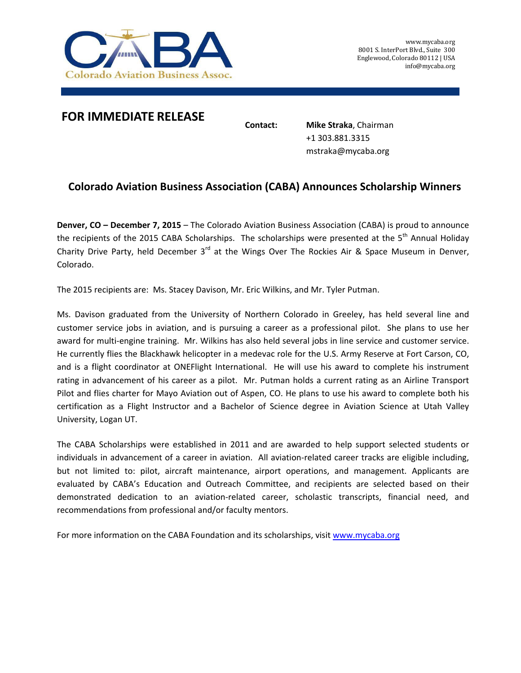

## **FOR IMMEDIATE RELEASE**

**Contact: Mike Straka**, Chairman +1 303.881.3315 mstraka@mycaba.org

## **Colorado Aviation Business Association (CABA) Announces Scholarship Winners**

**Denver, CO – December 7, 2015** – The Colorado Aviation Business Association (CABA) is proud to announce the recipients of the 2015 CABA Scholarships. The scholarships were presented at the 5<sup>th</sup> Annual Holiday Charity Drive Party, held December  $3^{rd}$  at the Wings Over The Rockies Air & Space Museum in Denver, Colorado.

The 2015 recipients are: Ms. Stacey Davison, Mr. Eric Wilkins, and Mr. Tyler Putman.

Ms. Davison graduated from the University of Northern Colorado in Greeley, has held several line and customer service jobs in aviation, and is pursuing a career as a professional pilot. She plans to use her award for multi‐engine training. Mr. Wilkins has also held several jobs in line service and customer service. He currently flies the Blackhawk helicopter in a medevac role for the U.S. Army Reserve at Fort Carson, CO, and is a flight coordinator at ONEFlight International. He will use his award to complete his instrument rating in advancement of his career as a pilot. Mr. Putman holds a current rating as an Airline Transport Pilot and flies charter for Mayo Aviation out of Aspen, CO. He plans to use his award to complete both his certification as a Flight Instructor and a Bachelor of Science degree in Aviation Science at Utah Valley University, Logan UT.

The CABA Scholarships were established in 2011 and are awarded to help support selected students or individuals in advancement of a career in aviation. All aviation‐related career tracks are eligible including, but not limited to: pilot, aircraft maintenance, airport operations, and management. Applicants are evaluated by CABA's Education and Outreach Committee, and recipients are selected based on their demonstrated dedication to an aviation‐related career, scholastic transcripts, financial need, and recommendations from professional and/or faculty mentors.

For more information on the CABA Foundation and its scholarships, visit www.mycaba.org